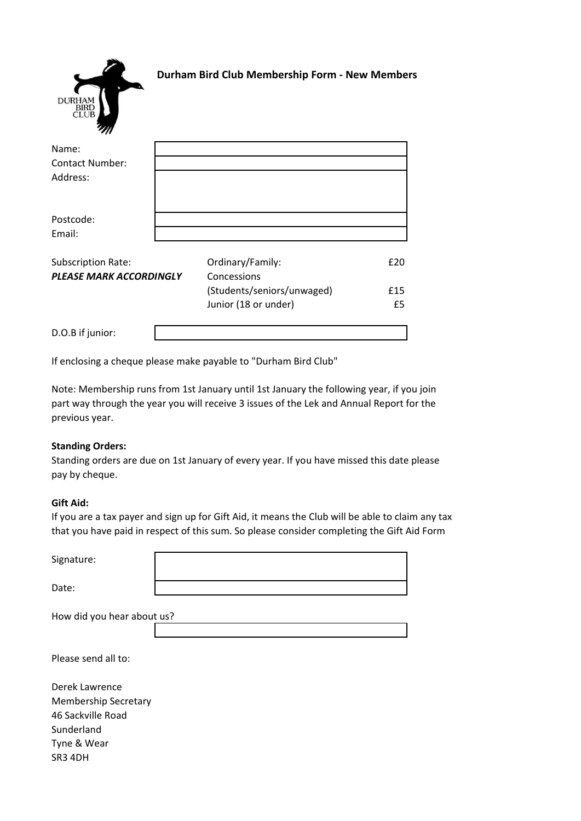

# **Durham Bird Club Membership Form - New Members**

| .,,                            |  |                            |     |
|--------------------------------|--|----------------------------|-----|
| Name:                          |  |                            |     |
| <b>Contact Number:</b>         |  |                            |     |
| Address:                       |  |                            |     |
|                                |  |                            |     |
|                                |  |                            |     |
| Postcode:                      |  |                            |     |
| Email:                         |  |                            |     |
|                                |  |                            |     |
| Subscription Rate:             |  | Ordinary/Family:           | £20 |
| <b>PLEASE MARK ACCORDINGLY</b> |  | Concessions                |     |
|                                |  | (Students/seniors/unwaged) | £15 |
|                                |  | Junior (18 or under)       | £5  |
|                                |  |                            |     |
| D.O.B if junior:               |  |                            |     |

If enclosing a cheque please make payable to "Durham Bird Club"

Note: Membership runs from 1st January until 1st January the following year, if you join part way through the year you will receive 3 issues of the Lek and Annual Report for the previous year.

### **Standing Orders:**

Standing orders are due on 1st January of every year. If you have missed this date please pay by cheque.

### **Gift Aid:**

If you are a tax payer and sign up for Gift Aid, it means the Club will be able to claim any tax that you have paid in respect of this sum. So please consider completing the Gift Aid Form

| Signature:                  |  |  |
|-----------------------------|--|--|
| Date:                       |  |  |
| How did you hear about us?  |  |  |
| Please send all to:         |  |  |
| Derek Lawrence              |  |  |
| <b>Membership Secretary</b> |  |  |
| 46 Sackville Road           |  |  |
| Sunderland                  |  |  |
| Tyne & Wear                 |  |  |

SR3 4DH